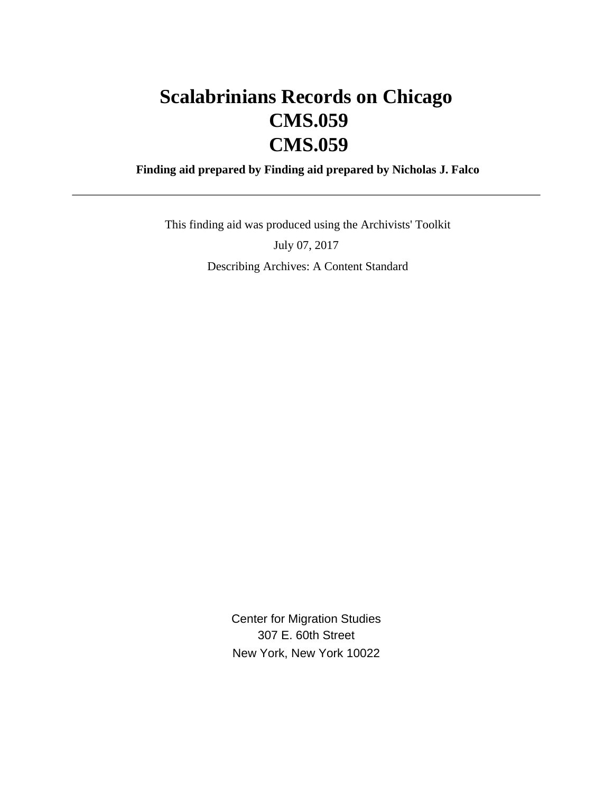# **Scalabrinians Records on Chicago CMS.059 CMS.059**

 **Finding aid prepared by Finding aid prepared by Nicholas J. Falco**

 This finding aid was produced using the Archivists' Toolkit July 07, 2017 Describing Archives: A Content Standard

> Center for Migration Studies 307 E. 60th Street New York, New York 10022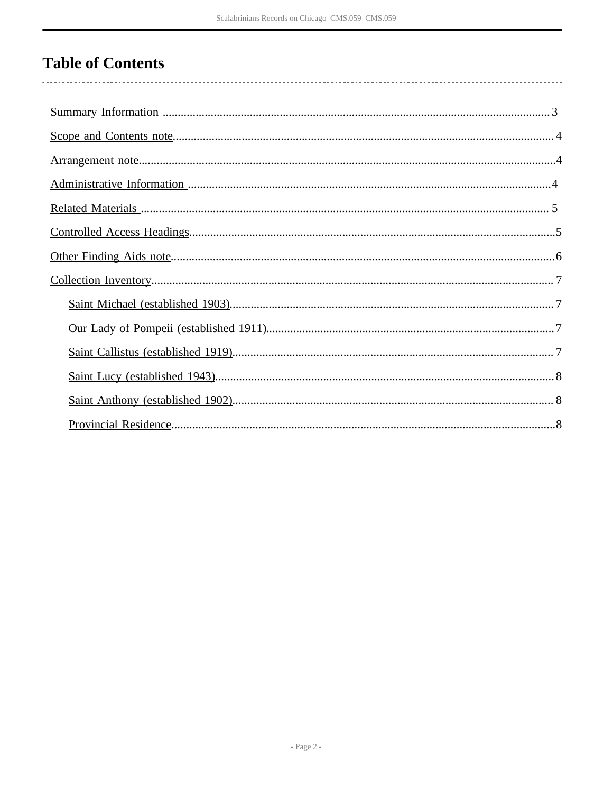# **Table of Contents**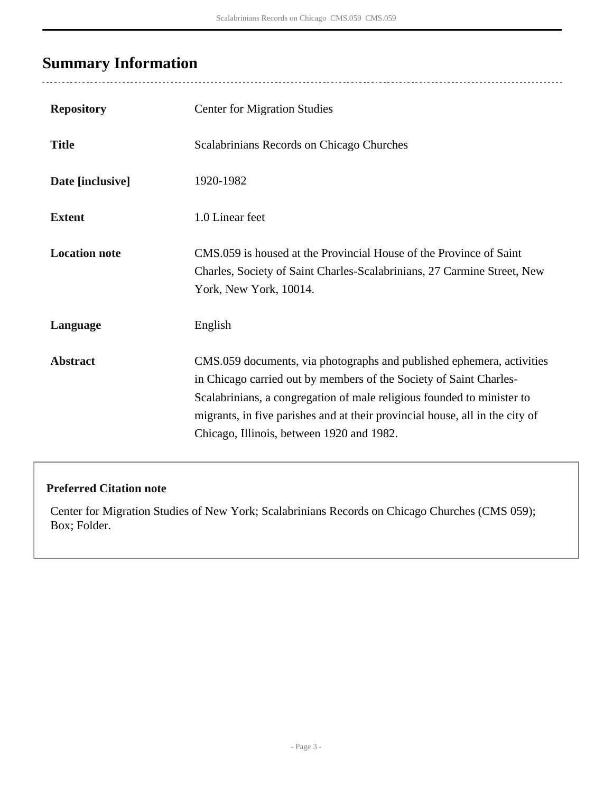# <span id="page-2-0"></span>**Summary Information**

 $\overline{a}$ 

| <b>Repository</b>    | <b>Center for Migration Studies</b>                                                                                                                                                                                                                                                                                                                |
|----------------------|----------------------------------------------------------------------------------------------------------------------------------------------------------------------------------------------------------------------------------------------------------------------------------------------------------------------------------------------------|
| <b>Title</b>         | Scalabrinians Records on Chicago Churches                                                                                                                                                                                                                                                                                                          |
| Date [inclusive]     | 1920-1982                                                                                                                                                                                                                                                                                                                                          |
| <b>Extent</b>        | 1.0 Linear feet                                                                                                                                                                                                                                                                                                                                    |
| <b>Location note</b> | CMS.059 is housed at the Provincial House of the Province of Saint<br>Charles, Society of Saint Charles-Scalabrinians, 27 Carmine Street, New<br>York, New York, 10014.                                                                                                                                                                            |
| Language             | English                                                                                                                                                                                                                                                                                                                                            |
| <b>Abstract</b>      | CMS.059 documents, via photographs and published ephemera, activities<br>in Chicago carried out by members of the Society of Saint Charles-<br>Scalabrinians, a congregation of male religious founded to minister to<br>migrants, in five parishes and at their provincial house, all in the city of<br>Chicago, Illinois, between 1920 and 1982. |

### **Preferred Citation note**

Center for Migration Studies of New York; Scalabrinians Records on Chicago Churches (CMS 059); Box; Folder.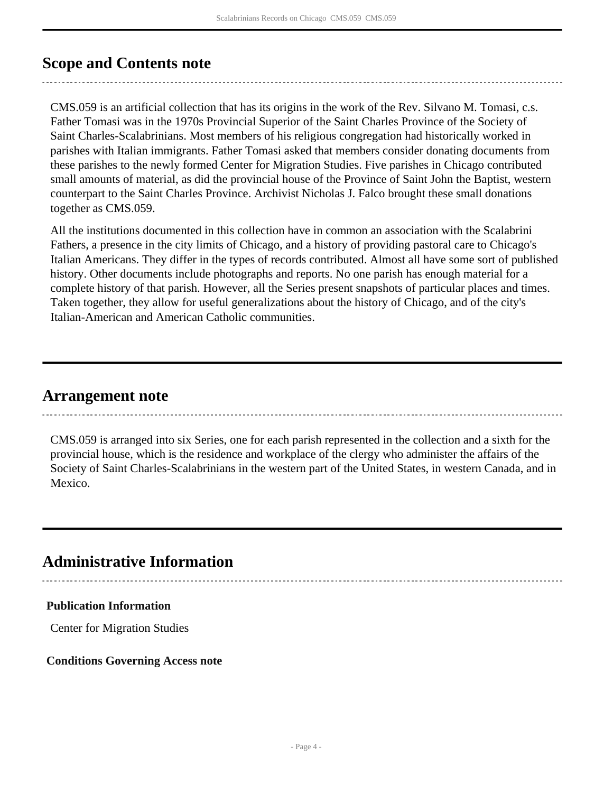## <span id="page-3-0"></span>**Scope and Contents note**

CMS.059 is an artificial collection that has its origins in the work of the Rev. Silvano M. Tomasi, c.s. Father Tomasi was in the 1970s Provincial Superior of the Saint Charles Province of the Society of Saint Charles-Scalabrinians. Most members of his religious congregation had historically worked in parishes with Italian immigrants. Father Tomasi asked that members consider donating documents from these parishes to the newly formed Center for Migration Studies. Five parishes in Chicago contributed small amounts of material, as did the provincial house of the Province of Saint John the Baptist, western counterpart to the Saint Charles Province. Archivist Nicholas J. Falco brought these small donations together as CMS.059.

All the institutions documented in this collection have in common an association with the Scalabrini Fathers, a presence in the city limits of Chicago, and a history of providing pastoral care to Chicago's Italian Americans. They differ in the types of records contributed. Almost all have some sort of published history. Other documents include photographs and reports. No one parish has enough material for a complete history of that parish. However, all the Series present snapshots of particular places and times. Taken together, they allow for useful generalizations about the history of Chicago, and of the city's Italian-American and American Catholic communities.

### <span id="page-3-1"></span>**Arrangement note**

CMS.059 is arranged into six Series, one for each parish represented in the collection and a sixth for the provincial house, which is the residence and workplace of the clergy who administer the affairs of the Society of Saint Charles-Scalabrinians in the western part of the United States, in western Canada, and in Mexico.

## <span id="page-3-2"></span>**Administrative Information**

#### **Publication Information**

Center for Migration Studies

#### **Conditions Governing Access note**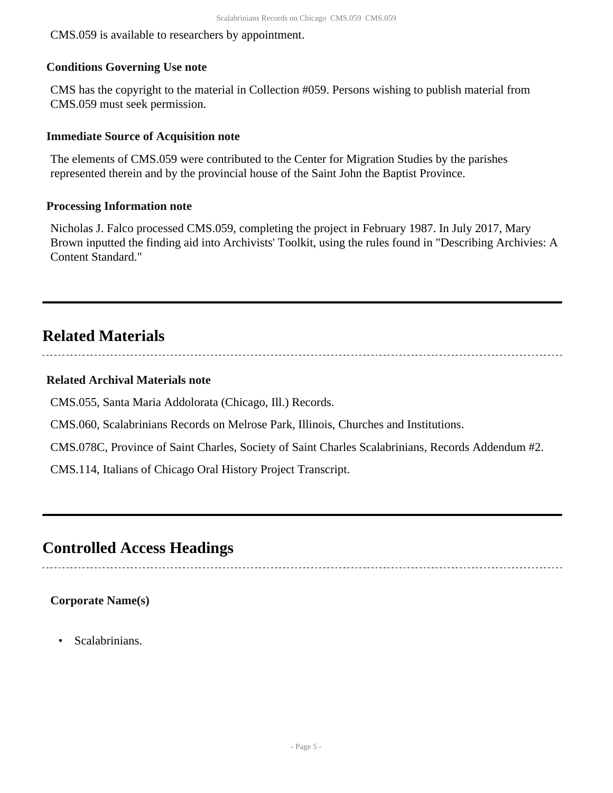CMS.059 is available to researchers by appointment.

#### **Conditions Governing Use note**

CMS has the copyright to the material in Collection #059. Persons wishing to publish material from CMS.059 must seek permission.

#### **Immediate Source of Acquisition note**

The elements of CMS.059 were contributed to the Center for Migration Studies by the parishes represented therein and by the provincial house of the Saint John the Baptist Province.

#### **Processing Information note**

Nicholas J. Falco processed CMS.059, completing the project in February 1987. In July 2017, Mary Brown inputted the finding aid into Archivists' Toolkit, using the rules found in "Describing Archivies: A Content Standard."

## <span id="page-4-0"></span>**Related Materials**

#### **Related Archival Materials note**

CMS.055, Santa Maria Addolorata (Chicago, Ill.) Records.

CMS.060, Scalabrinians Records on Melrose Park, Illinois, Churches and Institutions.

CMS.078C, Province of Saint Charles, Society of Saint Charles Scalabrinians, Records Addendum #2.

CMS.114, Italians of Chicago Oral History Project Transcript.

### <span id="page-4-1"></span>**Controlled Access Headings**

#### **Corporate Name(s)**

• Scalabrinians.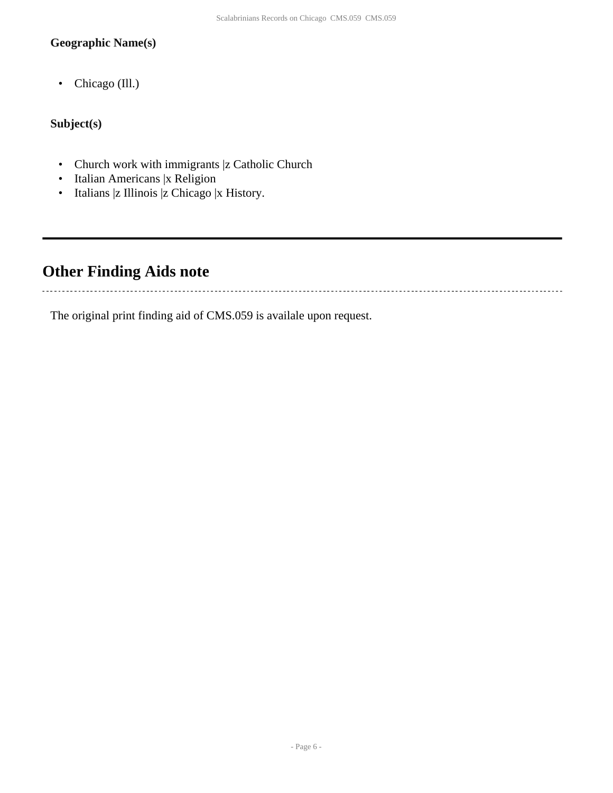#### **Geographic Name(s)**

• Chicago (Ill.)

### **Subject(s)**

. . . . . . . . . . . . . . . . . . .

- Church work with immigrants |z Catholic Church
- Italian Americans |x Religion
- Italians |z Illinois |z Chicago |x History.

# <span id="page-5-0"></span>**Other Finding Aids note**

The original print finding aid of CMS.059 is availale upon request.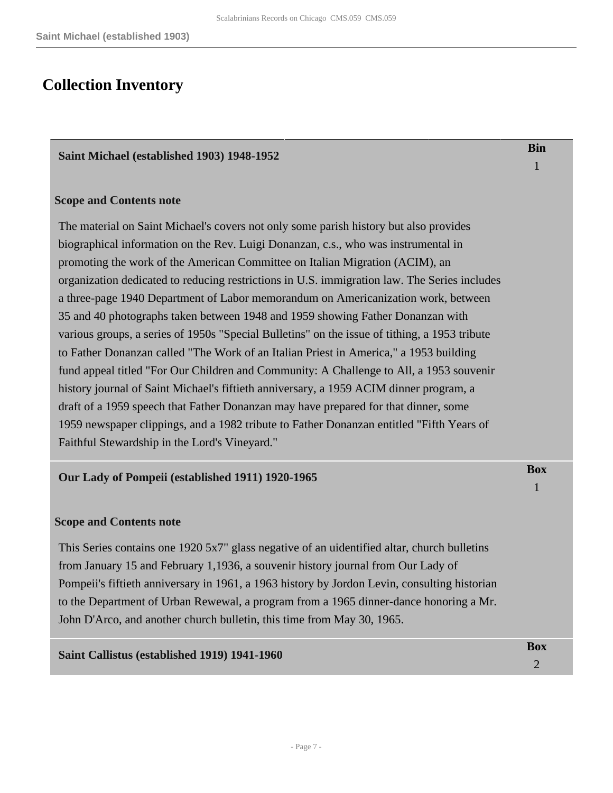### <span id="page-6-0"></span>**Collection Inventory**

#### <span id="page-6-1"></span>**Saint Michael (established 1903) 1948-1952**

#### **Scope and Contents note**

The material on Saint Michael's covers not only some parish history but also provides biographical information on the Rev. Luigi Donanzan, c.s., who was instrumental in promoting the work of the American Committee on Italian Migration (ACIM), an organization dedicated to reducing restrictions in U.S. immigration law. The Series includes a three-page 1940 Department of Labor memorandum on Americanization work, between 35 and 40 photographs taken between 1948 and 1959 showing Father Donanzan with various groups, a series of 1950s "Special Bulletins" on the issue of tithing, a 1953 tribute to Father Donanzan called "The Work of an Italian Priest in America," a 1953 building fund appeal titled "For Our Children and Community: A Challenge to All, a 1953 souvenir history journal of Saint Michael's fiftieth anniversary, a 1959 ACIM dinner program, a draft of a 1959 speech that Father Donanzan may have prepared for that dinner, some 1959 newspaper clippings, and a 1982 tribute to Father Donanzan entitled "Fifth Years of Faithful Stewardship in the Lord's Vineyard."

#### <span id="page-6-2"></span>**Our Lady of Pompeii (established 1911) 1920-1965**

#### **Scope and Contents note**

This Series contains one 1920 5x7" glass negative of an uidentified altar, church bulletins from January 15 and February 1,1936, a souvenir history journal from Our Lady of Pompeii's fiftieth anniversary in 1961, a 1963 history by Jordon Levin, consulting historian to the Department of Urban Rewewal, a program from a 1965 dinner-dance honoring a Mr. John D'Arco, and another church bulletin, this time from May 30, 1965.

# <span id="page-6-3"></span>**Saint Callistus (established 1919) 1941-1960 Box Box**

**Bin** 1

**Box**

2